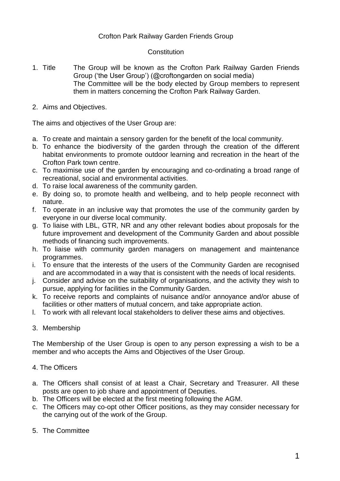## Crofton Park Railway Garden Friends Group

## **Constitution**

- 1. Title The Group will be known as the Crofton Park Railway Garden Friends Group ('the User Group') (@croftongarden on social media) The Committee will be the body elected by Group members to represent them in matters concerning the Crofton Park Railway Garden.
- 2. Aims and Objectives.

The aims and objectives of the User Group are:

- a. To create and maintain a sensory garden for the benefit of the local community.
- b. To enhance the biodiversity of the garden through the creation of the different habitat environments to promote outdoor learning and recreation in the heart of the Crofton Park town centre.
- c. To maximise use of the garden by encouraging and co-ordinating a broad range of recreational, social and environmental activities.
- d. To raise local awareness of the community garden.
- e. By doing so, to promote health and wellbeing, and to help people reconnect with nature.
- f. To operate in an inclusive way that promotes the use of the community garden by everyone in our diverse local community.
- g. To liaise with LBL, GTR, NR and any other relevant bodies about proposals for the future improvement and development of the Community Garden and about possible methods of financing such improvements.
- h. To liaise with community garden managers on management and maintenance programmes.
- i. To ensure that the interests of the users of the Community Garden are recognised and are accommodated in a way that is consistent with the needs of local residents.
- j. Consider and advise on the suitability of organisations, and the activity they wish to pursue, applying for facilities in the Community Garden.
- k. To receive reports and complaints of nuisance and/or annoyance and/or abuse of facilities or other matters of mutual concern, and take appropriate action.
- l. To work with all relevant local stakeholders to deliver these aims and objectives.
- 3. Membership

The Membership of the User Group is open to any person expressing a wish to be a member and who accepts the Aims and Objectives of the User Group.

- 4. The Officers
- a. The Officers shall consist of at least a Chair, Secretary and Treasurer. All these posts are open to job share and appointment of Deputies.
- b. The Officers will be elected at the first meeting following the AGM.
- c. The Officers may co-opt other Officer positions, as they may consider necessary for the carrying out of the work of the Group.
- 5. The Committee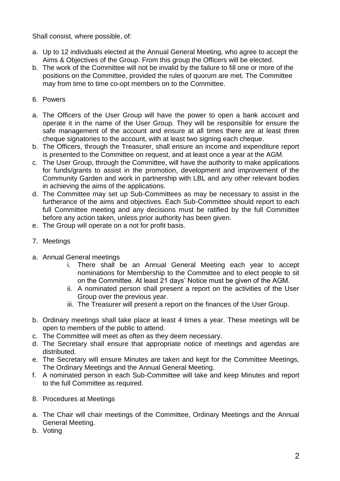Shall consist, where possible, of:

- a. Up to 12 individuals elected at the Annual General Meeting, who agree to accept the Aims & Objectives of the Group. From this group the Officers will be elected.
- b. The work of the Committee will not be invalid by the failure to fill one or more of the positions on the Committee, provided the rules of quorum are met. The Committee may from time to time co-opt members on to the Committee.

## 6. Powers

- a. The Officers of the User Group will have the power to open a bank account and operate it in the name of the User Group. They will be responsible for ensure the safe management of the account and ensure at all times there are at least three cheque signatories to the account, with at least two signing each cheque.
- b. The Officers, through the Treasurer, shall ensure an income and expenditure report is presented to the Committee on request, and at least once a year at the AGM.
- c. The User Group, through the Committee, will have the authority to make applications for funds/grants to assist in the promotion, development and improvement of the Community Garden and work in partnership with LBL and any other relevant bodies in achieving the aims of the applications.
- d. The Committee may set up Sub-Committees as may be necessary to assist in the furtherance of the aims and objectives. Each Sub-Committee should report to each full Committee meeting and any decisions must be ratified by the full Committee before any action taken, unless prior authority has been given.
- e. The Group will operate on a not for profit basis.
- 7. Meetings
- a. Annual General meetings
	- i. There shall be an Annual General Meeting each year to accept nominations for Membership to the Committee and to elect people to sit on the Committee. At least 21 days' Notice must be given of the AGM.
	- ii. A nominated person shall present a report on the activities of the User Group over the previous year.
	- iii. The Treasurer will present a report on the finances of the User Group.
- b. Ordinary meetings shall take place at least 4 times a year. These meetings will be open to members of the public to attend.
- c. The Committee will meet as often as they deem necessary.
- d. The Secretary shall ensure that appropriate notice of meetings and agendas are distributed.
- e. The Secretary will ensure Minutes are taken and kept for the Committee Meetings, The Ordinary Meetings and the Annual General Meeting.
- f. A nominated person in each Sub-Committee will take and keep Minutes and report to the full Committee as required.
- 8. Procedures at Meetings
- a. The Chair will chair meetings of the Committee, Ordinary Meetings and the Annual General Meeting.
- b. Voting